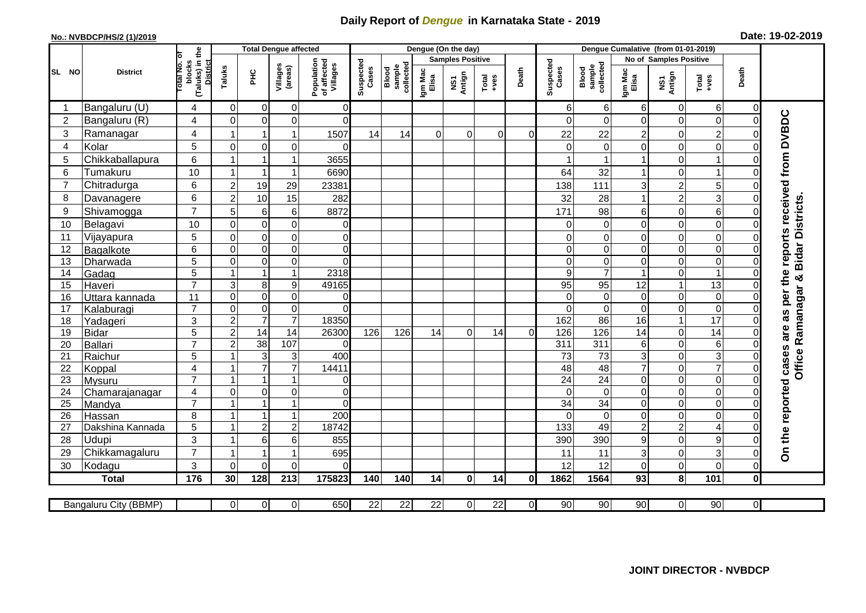## **Daily Report of** *Dengue* **in Karnataka State - 2019**

## **No.: NVBDCP/HS/2 (1)/2019**

|  |  | Date: 19-02-2019 |
|--|--|------------------|
|--|--|------------------|

|                | <b>District</b>            |                                                    | <b>Total Dengue affected</b> |                                           |                           |                                       |                    |                              |                  | Dengue (On the day)     |                 |                | Dengue Cumalative (from 01-01-2019) |                              |                              |                                  |                                    |              |                                        |
|----------------|----------------------------|----------------------------------------------------|------------------------------|-------------------------------------------|---------------------------|---------------------------------------|--------------------|------------------------------|------------------|-------------------------|-----------------|----------------|-------------------------------------|------------------------------|------------------------------|----------------------------------|------------------------------------|--------------|----------------------------------------|
|                |                            | ō                                                  |                              |                                           |                           |                                       |                    |                              |                  | <b>Samples Positive</b> |                 |                |                                     |                              |                              | No of Samples Positive           |                                    |              |                                        |
| SL NO          |                            | (Taluks) in the<br>District<br>lotal No.<br>blocks | Taluks                       | ЭHС                                       | Villages<br>(areas)       | Population<br>of affected<br>Villages | Suspected<br>Cases | sample<br>collected<br>Blood | Igm Mac<br>Elisa | NS1<br>Antign           | $Total$         | Death          | Suspected<br>Cases                  | sample<br>collected<br>Blood | Igm Mac<br>Elisa             | NS1<br>Antign                    | Total<br>+ves                      | Death        |                                        |
|                | Bangaluru (U)              | 4                                                  | $\Omega$                     | $\mathbf 0$                               | 0                         | $\Omega$                              |                    |                              |                  |                         |                 |                | 6                                   | 6                            | 6                            | $\overline{0}$                   | 6                                  | $\Omega$     |                                        |
| $\overline{2}$ | Bangaluru (R)              | 4                                                  | $\Omega$                     | 0                                         | 0                         | $\Omega$                              |                    |                              |                  |                         |                 |                | 0                                   | 0                            | 0                            | $\mathbf 0$                      | $\boldsymbol{0}$                   | $\Omega$     | as per the reports received from DVBDC |
| 3              | Ramanagar                  | 4                                                  | 1                            | 1                                         | 1                         | 1507                                  | 14                 | 14                           | $\Omega$         | $\Omega$                | $\Omega$        | $\Omega$       | 22                                  | 22                           | $\overline{c}$               | 0                                | $\overline{2}$                     |              |                                        |
| $\overline{4}$ | Kolar                      | 5                                                  | $\mathbf 0$                  | $\mathbf 0$                               | 0                         | $\Omega$                              |                    |                              |                  |                         |                 |                | ∩                                   | 0                            | 0                            | 0                                | $\mathbf 0$                        |              |                                        |
| 5              | Chikkaballapura            | 6                                                  |                              | -1                                        | 1                         | 3655                                  |                    |                              |                  |                         |                 |                |                                     |                              |                              | $\mathbf 0$                      |                                    |              |                                        |
| 6              | Tumakuru                   | 10                                                 | -1                           | $\overline{1}$                            | 1                         | 6690                                  |                    |                              |                  |                         |                 |                | 64                                  | 32                           | 1                            | $\mathbf 0$                      | $\mathbf 1$                        |              |                                        |
| $\overline{7}$ | Chitradurga                | 6                                                  | $\overline{2}$               | 19                                        | 29                        | 23381                                 |                    |                              |                  |                         |                 |                | 138                                 | 111                          | 3                            | $\overline{c}$                   | 5                                  |              |                                        |
| 8              | Davanagere                 | 6                                                  | $\mathbf 2$                  | 10                                        | 15                        | 282                                   |                    |                              |                  |                         |                 |                | 32                                  | 28                           | $\mathbf{1}$                 | $\overline{c}$                   | 3                                  |              |                                        |
| 9              | Shivamogga                 | $\overline{7}$                                     | 5                            | 6                                         | 6                         | 8872                                  |                    |                              |                  |                         |                 |                | 171                                 | 98                           | 6                            | $\mathbf 0$                      | 6                                  |              | <b>Bidar Districts</b>                 |
| 10             | Belagavi                   | 10                                                 | $\mathbf 0$                  | $\mathbf 0$                               | $\mathbf 0$               | $\mathbf 0$                           |                    |                              |                  |                         |                 |                | $\Omega$                            | $\mathbf 0$                  | 0                            | $\mathbf 0$                      | $\boldsymbol{0}$                   |              |                                        |
| 11             | Vijayapura                 | 5                                                  | $\Omega$                     | $\mathbf 0$                               | 0                         | $\overline{0}$                        |                    |                              |                  |                         |                 |                |                                     | 0                            | 0                            | $\mathbf 0$                      | $\mathbf 0$                        |              |                                        |
| 12             | Bagalkote                  | 6                                                  | $\mathbf 0$                  | $\mathbf 0$                               | 0                         | $\overline{0}$                        |                    |                              |                  |                         |                 |                | $\Omega$                            | $\mathbf 0$                  | 0                            | $\mathbf 0$                      | $\mathbf 0$                        |              |                                        |
| 13             | Dharwada                   | $\overline{5}$                                     | $\mathbf 0$                  | $\boldsymbol{0}$                          | $\overline{0}$            | $\Omega$                              |                    |                              |                  |                         |                 |                | $\Omega$                            | $\mathbf 0$                  | 0                            | $\overline{0}$                   | $\mathbf 0$                        |              |                                        |
| 14             | Gadag                      | $\overline{5}$                                     | $\overline{1}$               | $\overline{1}$                            | $\mathbf{1}$              | 2318                                  |                    |                              |                  |                         |                 |                | 9                                   | $\overline{7}$               | 1                            | $\mathbf 0$                      | $\mathbf{1}$                       |              |                                        |
| 15             | Haveri                     | $\overline{7}$                                     | $\overline{3}$               | 8                                         | 9                         | 49165                                 |                    |                              |                  |                         |                 |                | 95                                  | 95                           | 12                           | $\mathbf{1}$                     | 13                                 |              |                                        |
| 16             | Uttara kannada             | 11                                                 | $\overline{0}$               | $\mathbf 0$                               | 0                         | 0                                     |                    |                              |                  |                         |                 |                | $\Omega$                            | $\mathbf 0$                  | 0                            | $\overline{0}$                   | $\boldsymbol{0}$                   |              |                                        |
| 17             | Kalaburagi                 | $\overline{7}$                                     | $\mathbf 0$                  | $\mathbf 0$                               | 0                         | $\Omega$                              |                    |                              |                  |                         |                 |                | $\Omega$                            | $\mathbf 0$                  | 0                            | $\overline{0}$                   | $\boldsymbol{0}$                   |              |                                        |
| 18             | Yadageri                   | 3                                                  | $\overline{c}$               | $\overline{7}$                            | $\overline{7}$            | 18350                                 |                    |                              |                  |                         |                 |                | 162                                 | 86                           | 16                           | $\mathbf{1}$                     | $\overline{17}$                    |              |                                        |
| 19             | <b>Bidar</b>               | $\overline{5}$                                     | $\overline{2}$               | 14                                        | $\overline{14}$           | 26300                                 | 126                | 126                          | 14               | $\mathbf 0$             | 14              | $\Omega$       | 126                                 | 126                          | 14                           | $\mathbf 0$                      | 14                                 |              | are                                    |
| 20             | <b>Ballari</b>             | $\overline{7}$                                     | $\overline{c}$               | 38                                        | 107                       | $\Omega$                              |                    |                              |                  |                         |                 |                | 311                                 | 311                          | 6                            | $\overline{0}$                   | $\,6$                              | $\Omega$     |                                        |
| 21             | Raichur                    | 5                                                  | $\overline{ }$               | 3                                         | $\ensuremath{\mathsf{3}}$ | 400                                   |                    |                              |                  |                         |                 |                | $\overline{73}$                     | $\overline{73}$              | 3                            | $\overline{0}$                   | $\overline{3}$                     |              |                                        |
| 22             | Koppal                     | $\overline{\mathbf{4}}$                            | -1                           | $\overline{7}$                            | $\overline{7}$            | 14411                                 |                    |                              |                  |                         |                 |                | 48                                  | 48                           | $\overline{7}$               | $\pmb{0}$                        | $\overline{7}$                     | 0            | <b>Office Ramanagar &amp;</b>          |
| 23             | Mysuru                     | $\overline{7}$                                     | $\overline{1}$               | $\overline{1}$                            | $\overline{1}$            | $\overline{0}$                        |                    |                              |                  |                         |                 |                | $\overline{24}$                     | $\overline{24}$              | 0                            | $\overline{0}$                   | $\mathbf 0$                        | $\Omega$     |                                        |
| 24             | Chamarajanagar             | 4<br>$\overline{7}$                                | $\Omega$<br>$\overline{1}$   | $\mathbf 0$                               | 0                         | $\overline{0}$                        |                    |                              |                  |                         |                 |                | $\Omega$                            | $\Omega$                     | $\Omega$                     | $\overline{0}$                   | $\mathbf 0$                        |              |                                        |
| 25             | Mandya                     |                                                    | -1                           | $\overline{1}$<br>$\overline{\mathbf{1}}$ | $\mathbf{1}$<br>1         | $\Omega$                              |                    |                              |                  |                         |                 |                | 34                                  | $\overline{34}$              | 0                            | $\mathbf 0$                      | $\boldsymbol{0}$                   |              |                                        |
| 26<br>27       | Hassan<br>Dakshina Kannada | 8<br>5                                             | $\overline{1}$               | $\overline{c}$                            | $\overline{c}$            | 200<br>18742                          |                    |                              |                  |                         |                 |                | 133                                 | $\Omega$<br>49               | 0<br>$\overline{\mathbf{c}}$ | $\overline{0}$<br>$\overline{c}$ | $\boldsymbol{0}$<br>$\overline{4}$ |              |                                        |
| 28             | Udupi                      | 3                                                  | $\overline{\mathbf{1}}$      | $6\phantom{1}6$                           | 6                         | 855                                   |                    |                              |                  |                         |                 |                | 390                                 | 390                          | 9                            | $\overline{0}$                   | $\boldsymbol{9}$                   |              |                                        |
| 29             | Chikkamagaluru             | $\overline{7}$                                     | 1                            | -1                                        | 1                         | 695                                   |                    |                              |                  |                         |                 |                | 11                                  | 11                           | 3                            | $\mathbf 0$                      | 3                                  |              | On the reported cases                  |
| 30             | Kodagu                     | 3                                                  | $\Omega$                     | $\Omega$                                  | $\overline{0}$            | $\Omega$                              |                    |                              |                  |                         |                 |                | 12                                  | 12                           | 0                            | $\Omega$                         | $\mathbf 0$                        | $\Omega$     |                                        |
|                | <b>Total</b>               | 176                                                | 30                           | $\frac{1}{28}$                            | $\overline{213}$          | 175823                                | 140                | 140                          | 14               | $\mathbf 0$             | 14              | 0l             | 1862                                | 1564                         | 93                           | 8                                | 101                                | $\mathbf{0}$ |                                        |
|                |                            |                                                    |                              |                                           |                           |                                       |                    |                              |                  |                         |                 |                |                                     |                              |                              |                                  |                                    |              |                                        |
|                | Bangaluru City (BBMP)      |                                                    | $\overline{0}$               | $\overline{0}$                            | $\overline{0}$            | 650                                   | $\overline{22}$    | $\overline{22}$              | 22               | $\overline{0}$          | $\overline{22}$ | $\overline{0}$ | 90                                  | 90                           | $\overline{90}$              | $\overline{0}$                   | 90                                 | οI           |                                        |